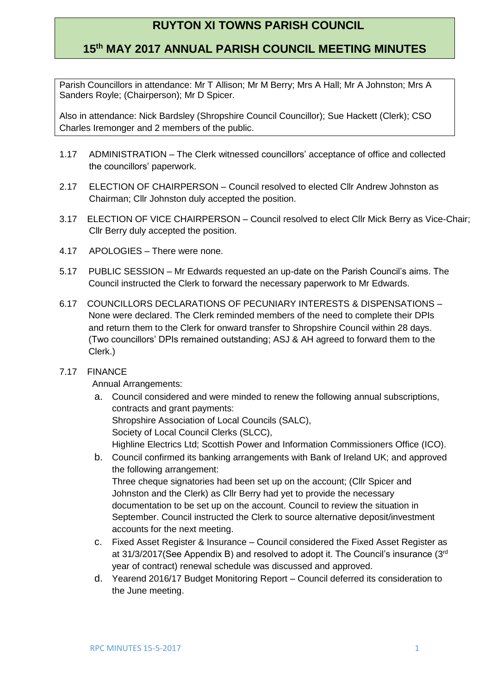# **RUYTON XI TOWNS PARISH COUNCIL**

## **15th MAY 2017 ANNUAL PARISH COUNCIL MEETING MINUTES**

Parish Councillors in attendance: Mr T Allison; Mr M Berry; Mrs A Hall; Mr A Johnston; Mrs A Sanders Royle; (Chairperson); Mr D Spicer.

Also in attendance: Nick Bardsley (Shropshire Council Councillor); Sue Hackett (Clerk); CSO Charles Iremonger and 2 members of the public.

- 1.17 ADMINISTRATION The Clerk witnessed councillors' acceptance of office and collected the councillors' paperwork.
- 2.17 ELECTION OF CHAIRPERSON Council resolved to elected Cllr Andrew Johnston as Chairman; Cllr Johnston duly accepted the position.
- 3.17 ELECTION OF VICE CHAIRPERSON Council resolved to elect Cllr Mick Berry as Vice-Chair; Cllr Berry duly accepted the position.
- 4.17 APOLOGIES There were none.
- 5.17 PUBLIC SESSION Mr Edwards requested an up-date on the Parish Council's aims. The Council instructed the Clerk to forward the necessary paperwork to Mr Edwards.
- 6.17 COUNCILLORS DECLARATIONS OF PECUNIARY INTERESTS & DISPENSATIONS None were declared. The Clerk reminded members of the need to complete their DPIs and return them to the Clerk for onward transfer to Shropshire Council within 28 days. (Two councillors' DPIs remained outstanding; ASJ & AH agreed to forward them to the Clerk.)

### 7.17 FINANCE

Annual Arrangements:

- a. Council considered and were minded to renew the following annual subscriptions, contracts and grant payments: Shropshire Association of Local Councils (SALC), Society of Local Council Clerks (SLCC), Highline Electrics Ltd; Scottish Power and Information Commissioners Office (ICO).
- b. Council confirmed its banking arrangements with Bank of Ireland UK; and approved the following arrangement: Three cheque signatories had been set up on the account; (Cllr Spicer and Johnston and the Clerk) as Cllr Berry had yet to provide the necessary documentation to be set up on the account. Council to review the situation in September. Council instructed the Clerk to source alternative deposit/investment accounts for the next meeting.
- c. Fixed Asset Register & Insurance Council considered the Fixed Asset Register as at 31/3/2017(See Appendix B) and resolved to adopt it. The Council's insurance (3rd year of contract) renewal schedule was discussed and approved.
- d. Yearend 2016/17 Budget Monitoring Report Council deferred its consideration to the June meeting.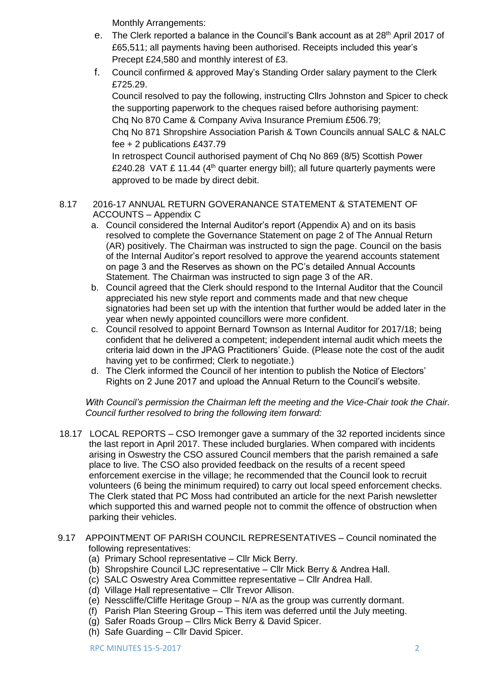Monthly Arrangements:

- e. The Clerk reported a balance in the Council's Bank account as at 28<sup>th</sup> April 2017 of £65,511; all payments having been authorised. Receipts included this year's Precept £24,580 and monthly interest of £3.
- f. Council confirmed & approved May's Standing Order salary payment to the Clerk £725.29.

Council resolved to pay the following, instructing Cllrs Johnston and Spicer to check the supporting paperwork to the cheques raised before authorising payment: Chq No 870 Came & Company Aviva Insurance Premium £506.79;

Chq No 871 Shropshire Association Parish & Town Councils annual SALC & NALC fee + 2 publications £437.79

In retrospect Council authorised payment of Chq No 869 (8/5) Scottish Power £240.28 VAT £ 11.44 (4<sup>th</sup> quarter energy bill); all future quarterly payments were approved to be made by direct debit.

#### 8.17 2016-17 ANNUAL RETURN GOVERANANCE STATEMENT & STATEMENT OF ACCOUNTS – Appendix C

- a. Council considered the Internal Auditor's report (Appendix A) and on its basis resolved to complete the Governance Statement on page 2 of The Annual Return (AR) positively. The Chairman was instructed to sign the page. Council on the basis of the Internal Auditor's report resolved to approve the yearend accounts statement on page 3 and the Reserves as shown on the PC's detailed Annual Accounts Statement. The Chairman was instructed to sign page 3 of the AR.
- b. Council agreed that the Clerk should respond to the Internal Auditor that the Council appreciated his new style report and comments made and that new cheque signatories had been set up with the intention that further would be added later in the year when newly appointed councillors were more confident.
- c. Council resolved to appoint Bernard Townson as Internal Auditor for 2017/18; being confident that he delivered a competent; independent internal audit which meets the criteria laid down in the JPAG Practitioners' Guide. (Please note the cost of the audit having yet to be confirmed: Clerk to negotiate.)
- d. The Clerk informed the Council of her intention to publish the Notice of Electors' Rights on 2 June 2017 and upload the Annual Return to the Council's website.

### *With Council's permission the Chairman left the meeting and the Vice-Chair took the Chair. Council further resolved to bring the following item forward:*

- 18.17 LOCAL REPORTS CSO Iremonger gave a summary of the 32 reported incidents since the last report in April 2017. These included burglaries. When compared with incidents arising in Oswestry the CSO assured Council members that the parish remained a safe place to live. The CSO also provided feedback on the results of a recent speed enforcement exercise in the village; he recommended that the Council look to recruit volunteers (6 being the minimum required) to carry out local speed enforcement checks. The Clerk stated that PC Moss had contributed an article for the next Parish newsletter which supported this and warned people not to commit the offence of obstruction when parking their vehicles.
- 9.17 APPOINTMENT OF PARISH COUNCIL REPRESENTATIVES Council nominated the following representatives:
	- (a) Primary School representative Cllr Mick Berry.
	- (b) Shropshire Council LJC representative Cllr Mick Berry & Andrea Hall.
	- (c) SALC Oswestry Area Committee representative Cllr Andrea Hall.
	- (d) Village Hall representative Cllr Trevor Allison.
	- (e) Nesscliffe/Cliffe Heritage Group N/A as the group was currently dormant.
	- (f) Parish Plan Steering Group This item was deferred until the July meeting.
	- (g) Safer Roads Group Cllrs Mick Berry & David Spicer.
	- (h) Safe Guarding Cllr David Spicer.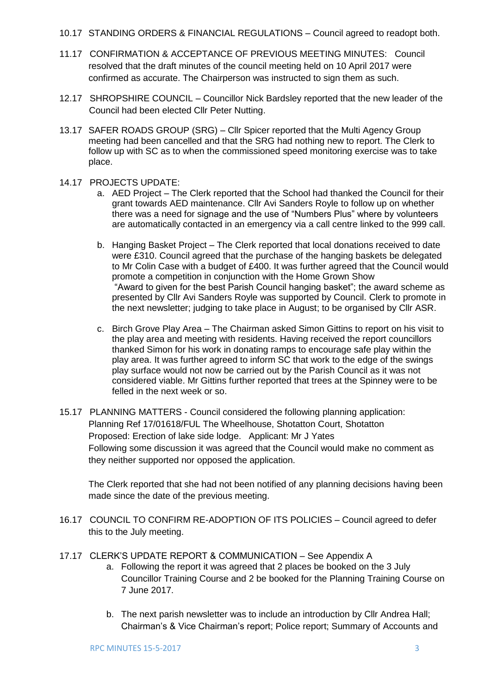10.17 STANDING ORDERS & FINANCIAL REGULATIONS – Council agreed to readopt both.

- 11.17 CONFIRMATION & ACCEPTANCE OF PREVIOUS MEETING MINUTES: Council resolved that the draft minutes of the council meeting held on 10 April 2017 were confirmed as accurate. The Chairperson was instructed to sign them as such.
- 12.17 SHROPSHIRE COUNCIL Councillor Nick Bardsley reported that the new leader of the Council had been elected Cllr Peter Nutting.
- 13.17 SAFER ROADS GROUP (SRG) Cllr Spicer reported that the Multi Agency Group meeting had been cancelled and that the SRG had nothing new to report. The Clerk to follow up with SC as to when the commissioned speed monitoring exercise was to take place.
- 14.17 PROJECTS UPDATE:
	- a. AED Project The Clerk reported that the School had thanked the Council for their grant towards AED maintenance. Cllr Avi Sanders Royle to follow up on whether there was a need for signage and the use of "Numbers Plus" where by volunteers are automatically contacted in an emergency via a call centre linked to the 999 call.
	- b. Hanging Basket Project The Clerk reported that local donations received to date were £310. Council agreed that the purchase of the hanging baskets be delegated to Mr Colin Case with a budget of £400. It was further agreed that the Council would promote a competition in conjunction with the Home Grown Show "Award to given for the best Parish Council hanging basket"; the award scheme as presented by Cllr Avi Sanders Royle was supported by Council. Clerk to promote in the next newsletter; judging to take place in August; to be organised by Cllr ASR.
	- c. Birch Grove Play Area The Chairman asked Simon Gittins to report on his visit to the play area and meeting with residents. Having received the report councillors thanked Simon for his work in donating ramps to encourage safe play within the play area. It was further agreed to inform SC that work to the edge of the swings play surface would not now be carried out by the Parish Council as it was not considered viable. Mr Gittins further reported that trees at the Spinney were to be felled in the next week or so.
- 15.17 PLANNING MATTERS Council considered the following planning application: Planning Ref 17/01618/FUL The Wheelhouse, Shotatton Court, Shotatton Proposed: Erection of lake side lodge. Applicant: Mr J Yates Following some discussion it was agreed that the Council would make no comment as they neither supported nor opposed the application.

The Clerk reported that she had not been notified of any planning decisions having been made since the date of the previous meeting.

- 16.17 COUNCIL TO CONFIRM RE-ADOPTION OF ITS POLICIES Council agreed to defer this to the July meeting.
- 17.17 CLERK'S UPDATE REPORT & COMMUNICATION See Appendix A
	- a. Following the report it was agreed that 2 places be booked on the 3 July Councillor Training Course and 2 be booked for the Planning Training Course on 7 June 2017.
	- b. The next parish newsletter was to include an introduction by Cllr Andrea Hall; Chairman's & Vice Chairman's report; Police report; Summary of Accounts and